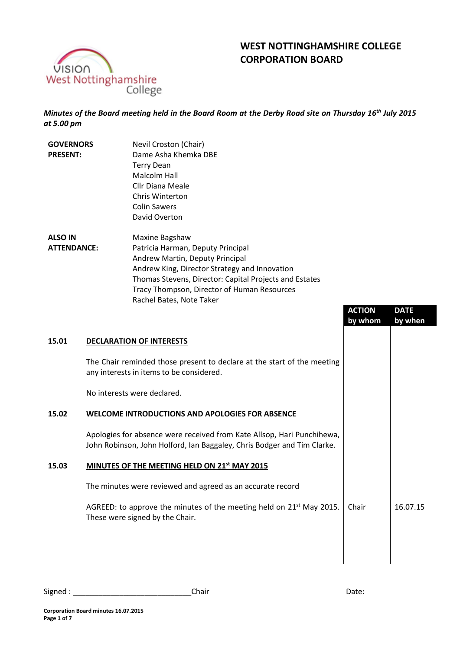

# **WEST NOTTINGHAMSHIRE COLLEGE CORPORATION BOARD**

*Minutes of the Board meeting held in the Board Room at the Derby Road site on Thursday 16th July 2015 at 5.00 pm*

| <b>GOVERNORS</b><br><b>PRESENT:</b>  | Nevil Croston (Chair)<br>Dame Asha Khemka DBE<br><b>Terry Dean</b><br>Malcolm Hall<br>Cllr Diana Meale<br>Chris Winterton<br><b>Colin Sawers</b><br>David Overton                                                                                                            |
|--------------------------------------|------------------------------------------------------------------------------------------------------------------------------------------------------------------------------------------------------------------------------------------------------------------------------|
| <b>ALSO IN</b><br><b>ATTENDANCE:</b> | Maxine Bagshaw<br>Patricia Harman, Deputy Principal<br>Andrew Martin, Deputy Principal<br>Andrew King, Director Strategy and Innovation<br>Thomas Stevens, Director: Capital Projects and Estates<br>Tracy Thompson, Director of Human Resources<br>Rachel Bates, Note Taker |

|       |                                                                                                                                                   | <b>ACTION</b><br>by whom | <b>DATE</b><br>by when |
|-------|---------------------------------------------------------------------------------------------------------------------------------------------------|--------------------------|------------------------|
| 15.01 | <b>DECLARATION OF INTERESTS</b>                                                                                                                   |                          |                        |
|       | The Chair reminded those present to declare at the start of the meeting<br>any interests in items to be considered.                               |                          |                        |
|       | No interests were declared.                                                                                                                       |                          |                        |
| 15.02 | <b>WELCOME INTRODUCTIONS AND APOLOGIES FOR ABSENCE</b>                                                                                            |                          |                        |
|       | Apologies for absence were received from Kate Allsop, Hari Punchihewa,<br>John Robinson, John Holford, Ian Baggaley, Chris Bodger and Tim Clarke. |                          |                        |
| 15.03 | MINUTES OF THE MEETING HELD ON 21 <sup>st</sup> MAY 2015                                                                                          |                          |                        |
|       | The minutes were reviewed and agreed as an accurate record                                                                                        |                          |                        |
|       | AGREED: to approve the minutes of the meeting held on 21 <sup>st</sup> May 2015.<br>These were signed by the Chair.                               | Chair                    | 16.07.15               |
|       |                                                                                                                                                   |                          |                        |
|       |                                                                                                                                                   |                          |                        |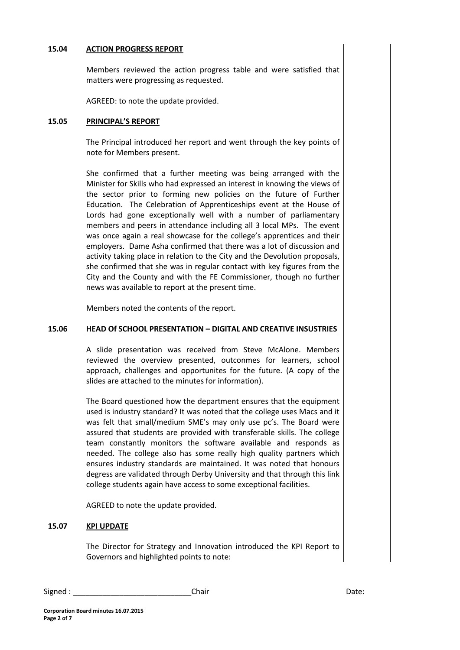### **15.04 ACTION PROGRESS REPORT**

Members reviewed the action progress table and were satisfied that matters were progressing as requested.

AGREED: to note the update provided.

#### **15.05 PRINCIPAL'S REPORT**

The Principal introduced her report and went through the key points of note for Members present.

She confirmed that a further meeting was being arranged with the Minister for Skills who had expressed an interest in knowing the views of the sector prior to forming new policies on the future of Further Education. The Celebration of Apprenticeships event at the House of Lords had gone exceptionally well with a number of parliamentary members and peers in attendance including all 3 local MPs. The event was once again a real showcase for the college's apprentices and their employers. Dame Asha confirmed that there was a lot of discussion and activity taking place in relation to the City and the Devolution proposals, she confirmed that she was in regular contact with key figures from the City and the County and with the FE Commissioner, though no further news was available to report at the present time.

Members noted the contents of the report.

#### **15.06 HEAD Of SCHOOL PRESENTATION – DIGITAL AND CREATIVE INSUSTRIES**

A slide presentation was received from Steve McAlone. Members reviewed the overview presented, outconmes for learners, school approach, challenges and opportunites for the future. (A copy of the slides are attached to the minutes for information).

The Board questioned how the department ensures that the equipment used is industry standard? It was noted that the college uses Macs and it was felt that small/medium SME's may only use pc's. The Board were assured that students are provided with transferable skills. The college team constantly monitors the software available and responds as needed. The college also has some really high quality partners which ensures industry standards are maintained. It was noted that honours degress are validated through Derby University and that through this link college students again have access to some exceptional facilities.

AGREED to note the update provided.

# **15.07 KPI UPDATE**

The Director for Strategy and Innovation introduced the KPI Report to Governors and highlighted points to note: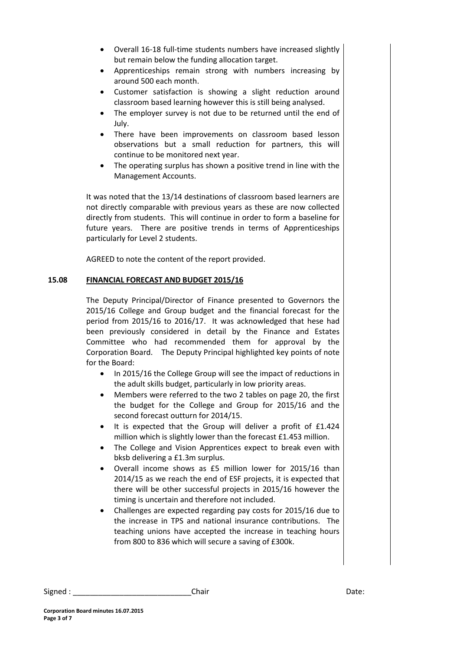- Overall 16-18 full-time students numbers have increased slightly but remain below the funding allocation target.
- Apprenticeships remain strong with numbers increasing by around 500 each month.
- Customer satisfaction is showing a slight reduction around classroom based learning however this is still being analysed.
- The employer survey is not due to be returned until the end of July.
- There have been improvements on classroom based lesson observations but a small reduction for partners, this will continue to be monitored next year.
- The operating surplus has shown a positive trend in line with the Management Accounts.

It was noted that the 13/14 destinations of classroom based learners are not directly comparable with previous years as these are now collected directly from students. This will continue in order to form a baseline for future years. There are positive trends in terms of Apprenticeships particularly for Level 2 students.

AGREED to note the content of the report provided.

# **15.08 FINANCIAL FORECAST AND BUDGET 2015/16**

The Deputy Principal/Director of Finance presented to Governors the 2015/16 College and Group budget and the financial forecast for the period from 2015/16 to 2016/17. It was acknowledged that hese had been previously considered in detail by the Finance and Estates Committee who had recommended them for approval by the Corporation Board. The Deputy Principal highlighted key points of note for the Board:

- In 2015/16 the College Group will see the impact of reductions in the adult skills budget, particularly in low priority areas.
- Members were referred to the two 2 tables on page 20, the first the budget for the College and Group for 2015/16 and the second forecast outturn for 2014/15.
- It is expected that the Group will deliver a profit of £1.424 million which is slightly lower than the forecast £1.453 million.
- The College and Vision Apprentices expect to break even with bksb delivering a £1.3m surplus.
- Overall income shows as £5 million lower for 2015/16 than 2014/15 as we reach the end of ESF projects, it is expected that there will be other successful projects in 2015/16 however the timing is uncertain and therefore not included.
- Challenges are expected regarding pay costs for 2015/16 due to the increase in TPS and national insurance contributions. The teaching unions have accepted the increase in teaching hours from 800 to 836 which will secure a saving of £300k.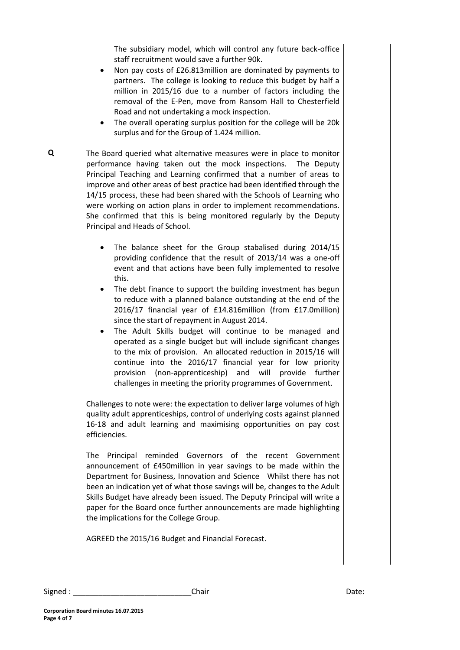The subsidiary model, which will control any future back-office staff recruitment would save a further 90k.

- Non pay costs of £26.813million are dominated by payments to partners. The college is looking to reduce this budget by half a million in 2015/16 due to a number of factors including the removal of the E-Pen, move from Ransom Hall to Chesterfield Road and not undertaking a mock inspection.
- The overall operating surplus position for the college will be 20k surplus and for the Group of 1.424 million.
- **Q** The Board queried what alternative measures were in place to monitor performance having taken out the mock inspections. The Deputy Principal Teaching and Learning confirmed that a number of areas to improve and other areas of best practice had been identified through the 14/15 process, these had been shared with the Schools of Learning who were working on action plans in order to implement recommendations. She confirmed that this is being monitored regularly by the Deputy Principal and Heads of School.
	- The balance sheet for the Group stabalised during 2014/15 providing confidence that the result of 2013/14 was a one-off event and that actions have been fully implemented to resolve this.
	- The debt finance to support the building investment has begun to reduce with a planned balance outstanding at the end of the 2016/17 financial year of £14.816million (from £17.0million) since the start of repayment in August 2014.
	- The Adult Skills budget will continue to be managed and operated as a single budget but will include significant changes to the mix of provision. An allocated reduction in 2015/16 will continue into the 2016/17 financial year for low priority provision (non-apprenticeship) and will provide further challenges in meeting the priority programmes of Government.

Challenges to note were: the expectation to deliver large volumes of high quality adult apprenticeships, control of underlying costs against planned 16-18 and adult learning and maximising opportunities on pay cost efficiencies.

The Principal reminded Governors of the recent Government announcement of £450million in year savings to be made within the Department for Business, Innovation and Science Whilst there has not been an indication yet of what those savings will be, changes to the Adult Skills Budget have already been issued. The Deputy Principal will write a paper for the Board once further announcements are made highlighting the implications for the College Group.

AGREED the 2015/16 Budget and Financial Forecast.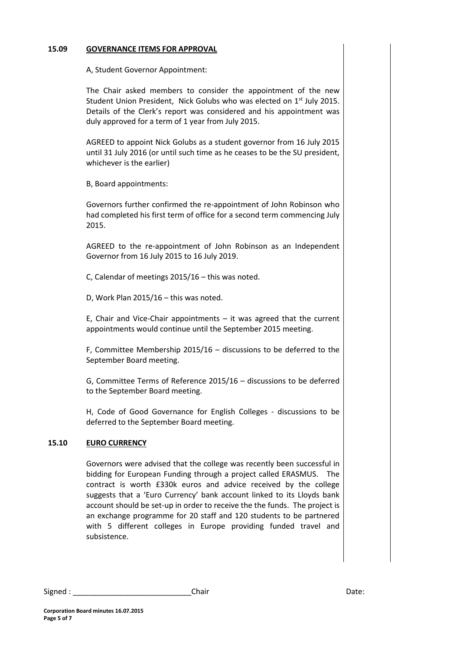# **15.09 GOVERNANCE ITEMS FOR APPROVAL**

A, Student Governor Appointment:

The Chair asked members to consider the appointment of the new Student Union President, Nick Golubs who was elected on 1<sup>st</sup> July 2015. Details of the Clerk's report was considered and his appointment was duly approved for a term of 1 year from July 2015.

AGREED to appoint Nick Golubs as a student governor from 16 July 2015 until 31 July 2016 (or until such time as he ceases to be the SU president, whichever is the earlier)

B, Board appointments:

Governors further confirmed the re-appointment of John Robinson who had completed his first term of office for a second term commencing July 2015.

AGREED to the re-appointment of John Robinson as an Independent Governor from 16 July 2015 to 16 July 2019.

C, Calendar of meetings 2015/16 – this was noted.

D, Work Plan 2015/16 – this was noted.

E, Chair and Vice-Chair appointments  $-$  it was agreed that the current appointments would continue until the September 2015 meeting.

F, Committee Membership 2015/16 – discussions to be deferred to the September Board meeting.

G, Committee Terms of Reference 2015/16 – discussions to be deferred to the September Board meeting.

H, Code of Good Governance for English Colleges - discussions to be deferred to the September Board meeting.

# **15.10 EURO CURRENCY**

Governors were advised that the college was recently been successful in bidding for European Funding through a project called ERASMUS. The contract is worth £330k euros and advice received by the college suggests that a 'Euro Currency' bank account linked to its Lloyds bank account should be set-up in order to receive the the funds. The project is an exchange programme for 20 staff and 120 students to be partnered with 5 different colleges in Europe providing funded travel and subsistence.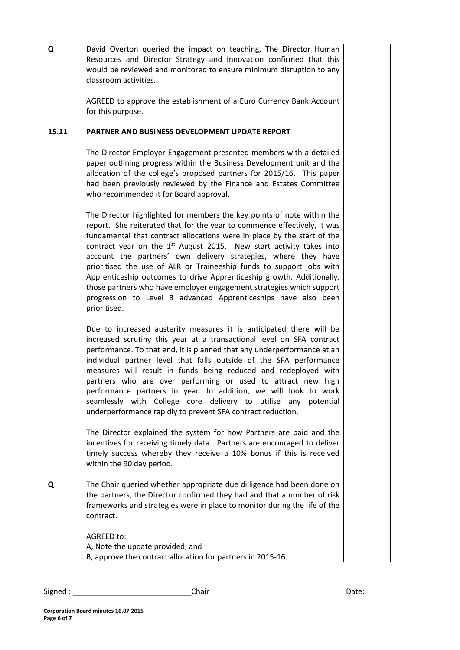**Q** David Overton queried the impact on teaching, The Director Human Resources and Director Strategy and Innovation confirmed that this would be reviewed and monitored to ensure minimum disruption to any classroom activities.

> AGREED to approve the establishment of a Euro Currency Bank Account for this purpose.

# **15.11 PARTNER AND BUSINESS DEVELOPMENT UPDATE REPORT**

The Director Employer Engagement presented members with a detailed paper outlining progress within the Business Development unit and the allocation of the college's proposed partners for 2015/16. This paper had been previously reviewed by the Finance and Estates Committee who recommended it for Board approval.

The Director highlighted for members the key points of note within the report. She reiterated that for the year to commence effectively, it was fundamental that contract allocations were in place by the start of the contract year on the  $1<sup>st</sup>$  August 2015. New start activity takes into account the partners' own delivery strategies, where they have prioritised the use of ALR or Traineeship funds to support jobs with Apprenticeship outcomes to drive Apprenticeship growth. Additionally, those partners who have employer engagement strategies which support progression to Level 3 advanced Apprenticeships have also been prioritised.

Due to increased austerity measures it is anticipated there will be increased scrutiny this year at a transactional level on SFA contract performance. To that end, it is planned that any underperformance at an individual partner level that falls outside of the SFA performance measures will result in funds being reduced and redeployed with partners who are over performing or used to attract new high performance partners in year. In addition, we will look to work seamlessly with College core delivery to utilise any potential underperformance rapidly to prevent SFA contract reduction.

The Director explained the system for how Partners are paid and the incentives for receiving timely data. Partners are encouraged to deliver timely success whereby they receive a 10% bonus if this is received within the 90 day period.

**Q** The Chair queried whether appropriate due dilligence had been done on the partners, the Director confirmed they had and that a number of risk frameworks and strategies were in place to monitor during the life of the contract.

> AGREED to: A, Note the update provided, and B, approve the contract allocation for partners in 2015-16.